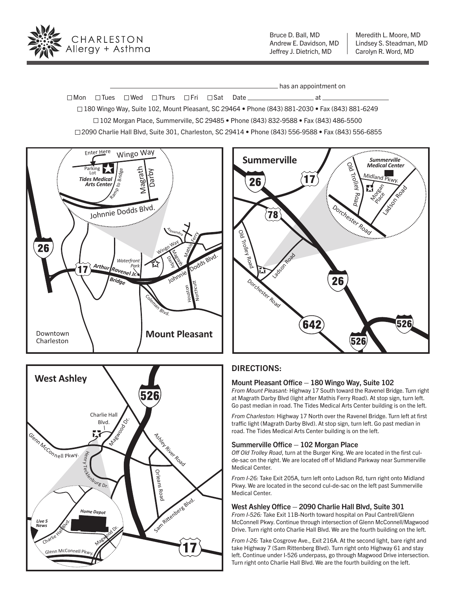

Bruce D. Ball, MD Andrew E. Davidson, MD Jeffrey J. Dietrich, MD

Meredith L. Moore, MD Lindsey S. Steadman, MD Carolyn R. Word, MD

has an appointment on

 $\square$  Mon  $\square$  Tues  $\square$  Wed  $\square$  Thurs  $\square$  Fri  $\square$  Sat Date  $\underline{\hspace{1cm}}$   $\square$   $\blacksquare$  at  $\square$ 180 Wingo Way, Suite 102, Mount Pleasant, SC 29464 • Phone (843) 881-2030 • Fax (843) 881-6249

102 Morgan Place, Summerville, SC 29485 • Phone (843) 832-9588 • Fax (843) 486-5500

2090 Charlie Hall Blvd, Suite 301, Charleston, SC 29414 • Phone (843) 556-9588 • Fax (843) 556-6855







### DIRECTIONS:

#### Mount Pleasant Office  $-$  180 Wingo Way, Suite 102

*From Mount Pleasant:* Highway 17 South toward the Ravenel Bridge. Turn right at Magrath Darby Blvd (light after Mathis Ferry Road). At stop sign, turn left. Go past median in road. The Tides Medical Arts Center building is on the left.

*From Charleston:* Highway 17 North over the Ravenel Bridge. Turn left at first traffic light (Magrath Darby Blvd). At stop sign, turn left. Go past median in road. The Tides Medical Arts Center building is on the left.

#### Summerville Office  $-102$  Morgan Place

*O*! *Old Trolley Road*, turn at the Burger King. We are located in the first culde-sac on the right. We are located off of Midland Parkway near Summerville Medical Center.

*From I-26:* Take Exit 205A, turn left onto Ladson Rd, turn right onto Midland Pkwy. We are located in the second cul-de-sac on the left past Summerville Medical Center.

#### West Ashley Office  $-$  2090 Charlie Hall Blvd, Suite 301

*From I-526:* Take Exit 11B-North toward hospital on Paul Cantrell/Glenn McConnell Pkwy. Continue through intersection of Glenn McConnell/Magwood Drive. Turn right onto Charlie Hall Blvd. We are the fourth building on the left.

*From I-26:* Take Cosgrove Ave., Exit 216A. At the second light, bare right and take Highway 7 (Sam Rittenberg Blvd). Turn right onto Highway 61 and stay left. Continue under I-526 underpass, go through Magwood Drive intersection. Turn right onto Charlie Hall Blvd. We are the fourth building on the left.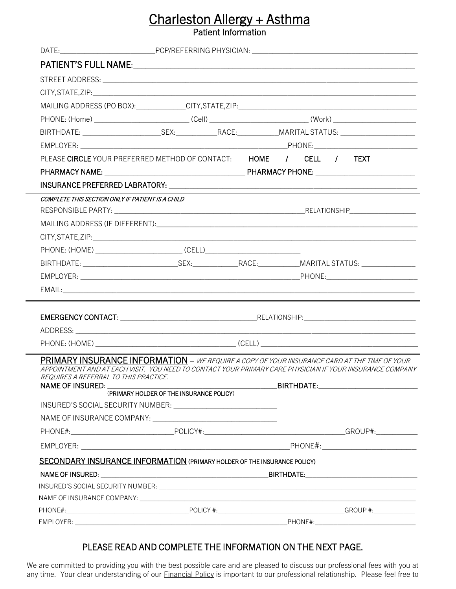# Charleston Allergy + Asthma<br>Patient Information

| PLEASE CIRCLE YOUR PREFERRED METHOD OF CONTACT: HOME / CELL / TEXT                                                                                                                                              |                                          |  |  |
|-----------------------------------------------------------------------------------------------------------------------------------------------------------------------------------------------------------------|------------------------------------------|--|--|
|                                                                                                                                                                                                                 |                                          |  |  |
|                                                                                                                                                                                                                 |                                          |  |  |
| COMPLETE THIS SECTION ONLY IF PATIENT IS A CHILD                                                                                                                                                                |                                          |  |  |
|                                                                                                                                                                                                                 |                                          |  |  |
|                                                                                                                                                                                                                 |                                          |  |  |
|                                                                                                                                                                                                                 |                                          |  |  |
|                                                                                                                                                                                                                 |                                          |  |  |
|                                                                                                                                                                                                                 |                                          |  |  |
|                                                                                                                                                                                                                 |                                          |  |  |
|                                                                                                                                                                                                                 |                                          |  |  |
|                                                                                                                                                                                                                 |                                          |  |  |
|                                                                                                                                                                                                                 |                                          |  |  |
|                                                                                                                                                                                                                 |                                          |  |  |
|                                                                                                                                                                                                                 |                                          |  |  |
| <b>PRIMARY INSURANCE INFORMATION</b> – WE REQUIRE A COPY OF YOUR INSURANCE CARD AT THE TIME OF YOUR<br>APPOINTMENT AND AT EACH VISIT. YOU NEED TO CONTACT YOUR PRIMARY CARE PHYSICIAN IF YOUR INSURANCE COMPANY |                                          |  |  |
| REQUIRES A REFERRAL TO THIS PRACTICE.                                                                                                                                                                           |                                          |  |  |
| <b>NAME OF INSURED:</b>                                                                                                                                                                                         | (PRIMARY HOLDER OF THE INSURANCE POLICY) |  |  |
|                                                                                                                                                                                                                 |                                          |  |  |
|                                                                                                                                                                                                                 |                                          |  |  |
|                                                                                                                                                                                                                 |                                          |  |  |
|                                                                                                                                                                                                                 |                                          |  |  |
| SECONDARY INSURANCE INFORMATION (PRIMARY HOLDER OF THE INSURANCE POLICY)                                                                                                                                        |                                          |  |  |
|                                                                                                                                                                                                                 |                                          |  |  |
|                                                                                                                                                                                                                 |                                          |  |  |
|                                                                                                                                                                                                                 |                                          |  |  |
|                                                                                                                                                                                                                 |                                          |  |  |
|                                                                                                                                                                                                                 |                                          |  |  |

## PLEASE READ AND COMPLETE THE INFORMATION ON THE NEXT PAGE.

We are committed to providing you with the best possible care and are pleased to discuss our professional fees with you at any time. Your clear understanding of our **Financial Policy** is important to our professional relationship. Please feel free to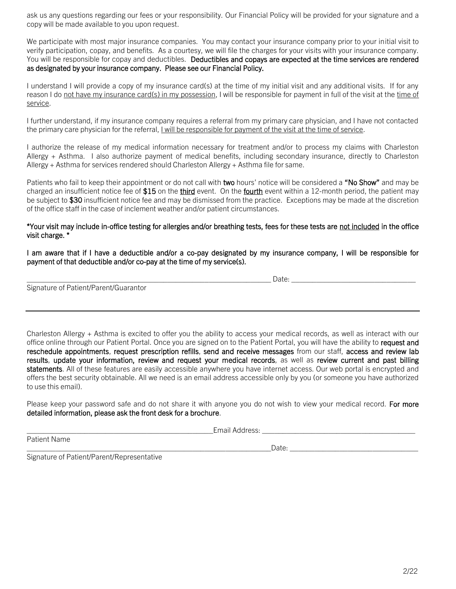ask us any questions regarding our fees or your responsibility. Our Financial Policy will be provided for your signature and a copy will be made available to you upon request.

We participate with most major insurance companies. You may contact your insurance company prior to your initial visit to verify participation, copay, and benefits. As a courtesy, we will file the charges for your visits with your insurance company. You will be responsible for copay and deductibles. Deductibles and copays are expected at the time services are rendered as designated by your insurance company. Please see our Financial Policy.

I understand I will provide a copy of my insurance card(s) at the time of my initial visit and any additional visits. If for any reason I do not have my insurance card(s) in my possession, I will be responsible for payment in full of the visit at the time of service.

I further understand, if my insurance company requires a referral from my primary care physician, and I have not contacted the primary care physician for the referral, I will be responsible for payment of the visit at the time of service.

I authorize the release of my medical information necessary for treatment and/or to process my claims with Charleston Allergy + Asthma. I also authorize payment of medical benefits, including secondary insurance, directly to Charleston Allergy + Asthma for services rendered should Charleston Allergy + Asthma file for same.

Patients who fail to keep their appointment or do not call with two hours' notice will be considered a "No Show" and may be charged an insufficient notice fee of  $$15$  on the *third* event. On the *fourth* event within a 12-month period, the patient may be subject to \$30 insufficient notice fee and may be dismissed from the practice. Exceptions may be made at the discretion of the office staff in the case of inclement weather and/or patient circumstances.

#### \*Your visit may include in-office testing for allergies and/or breathing tests, fees for these tests are not included in the office visit charge. \*

I am aware that if I have a deductible and/or a co-pay designated by my insurance company, I will be responsible for payment of that deductible and/or co-pay at the time of my service(s).

| Jate<br>cucu.<br>. |
|--------------------|
|--------------------|

Signature of Patient/Parent/Guarantor

Charleston Allergy + Asthma is excited to offer you the ability to access your medical records, as well as interact with our office online through our Patient Portal. Once you are signed on to the Patient Portal, you will have the ability to request and reschedule appointments, request prescription refills, send and receive messages from our staff, access and review lab results, update your information, review and request your medical records, as well as review current and past billing statements. All of these features are easily accessible anywhere you have internet access. Our web portal is encrypted and offers the best security obtainable. All we need is an email address accessible only by you (or someone you have authorized to use this email).

Please keep your password safe and do not share it with anyone you do not wish to view your medical record. For more detailed information, please ask the front desk for a brochure.

\_\_\_\_\_\_\_\_\_\_\_\_\_\_\_\_\_\_\_\_\_\_\_\_\_\_\_\_\_\_\_\_\_\_\_\_\_\_\_\_\_\_\_\_\_Email Address: \_\_\_\_\_\_\_\_\_\_\_\_\_\_\_\_\_\_\_\_\_\_\_\_\_\_\_\_\_\_\_\_\_\_\_\_\_

Patient Name

 $Date:$ 

Signature of Patient/Parent/Representative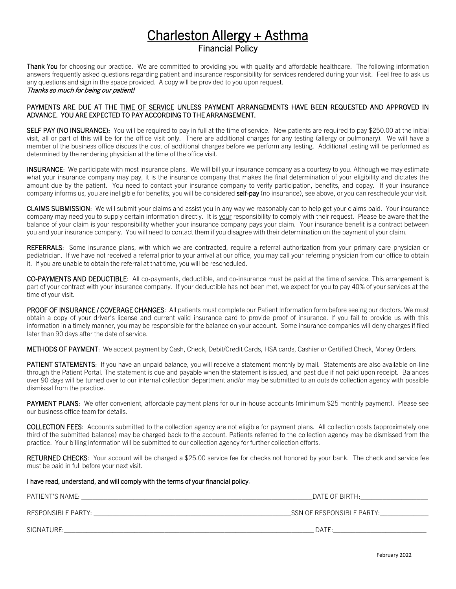## Charleston Allergy + Asthma<br>Financial Policy

Thank You for choosing our practice. We are committed to providing you with quality and affordable healthcare. The following information answers frequently asked questions regarding patient and insurance responsibility for services rendered during your visit. Feel free to ask us any questions and sign in the space provided. A copy will be provided to you upon request. Thanks so much for being our patient!

### PAYMENTS ARE DUE AT THE TIME OF SERVICE UNLESS PAYMENT ARRANGEMENTS HAVE BEEN REQUESTED AND APPROVED IN ADVANCE. YOU ARE EXPECTED TO PAY ACCORDING TO THE ARRANGEMENT.

SELF PAY (NO INSURANCE): You will be required to pay in full at the time of service. New patients are required to pay \$250.00 at the initial visit, all or part of this will be for the office visit only. There are additional charges for any testing (allergy or pulmonary). We will have a member of the business office discuss the cost of additional charges before we perform any testing. Additional testing will be performed as determined by the rendering physician at the time of the office visit.

INSURANCE: We participate with most insurance plans. We will bill your insurance company as a courtesy to you. Although we may estimate what your insurance company may pay, it is the insurance company that makes the final determination of your eligibility and dictates the amount due by the patient. You need to contact your insurance company to verify participation, benefits, and copay. If your insurance company informs us, you are ineligible for benefits, you will be considered self-pay (no insurance), see above, or you can reschedule your visit.

CLAIMS SUBMISSION: We will submit your claims and assist you in any way we reasonably can to help get your claims paid. Your insurance company may need you to supply certain information directly. It is your responsibility to comply with their request. Please be aware that the balance of your claim is your responsibility whether your insurance company pays your claim. Your insurance benefit is a contract between you and your insurance company. You will need to contact them if you disagree with their determination on the payment of your claim.

REFERRALS: Some insurance plans, with which we are contracted, require a referral authorization from your primary care physician or pediatrician. If we have not received a referral prior to your arrival at our office, you may call your referring physician from our office to obtain it. If you are unable to obtain the referral at that time, you will be rescheduled.

CO-PAYMENTS AND DEDUCTIBLE: All co-payments, deductible, and co-insurance must be paid at the time of service. This arrangement is part of your contract with your insurance company. If your deductible has not been met, we expect for you to pay 40% of your services at the time of your visit.

PROOF OF INSURANCE / COVERAGE CHANGES: All patients must complete our Patient Information form before seeing our doctors. We must obtain a copy of your driver's license and current valid insurance card to provide proof of insurance. If you fail to provide us with this information in a timely manner, you may be responsible for the balance on your account. Some insurance companies will deny charges if filed later than 90 days after the date of service.

METHODS OF PAYMENT: We accept payment by Cash, Check, Debit/Credit Cards, HSA cards, Cashier or Certified Check, Money Orders.

PATIENT STATEMENTS: If you have an unpaid balance, you will receive a statement monthly by mail. Statements are also available on-line through the Patient Portal. The statement is due and payable when the statement is issued, and past due if not paid upon receipt. Balances over 90 days will be turned over to our internal collection department and/or may be submitted to an outside collection agency with possible dismissal from the practice.

PAYMENT PLANS: We offer convenient, affordable payment plans for our in-house accounts (minimum \$25 monthly payment). Please see our business office team for details.

COLLECTION FEES: Accounts submitted to the collection agency are not eligible for payment plans. All collection costs (approximately one third of the submitted balance) may be charged back to the account. Patients referred to the collection agency may be dismissed from the practice. Your billing information will be submitted to our collection agency for further collection efforts.

RETURNED CHECKS: Your account will be charged a \$25.00 service fee for checks not honored by your bank. The check and service fee must be paid in full before your next visit.

I have read, understand, and will comply with the terms of your financial policy.

| PATIENT'S NAME:    | DATE OF BIRTH:            |
|--------------------|---------------------------|
| RESPONSIBLE PARTY: | SSN OF RESPONSIBLE PARTY: |
| SIGNATURE:         | DATE:                     |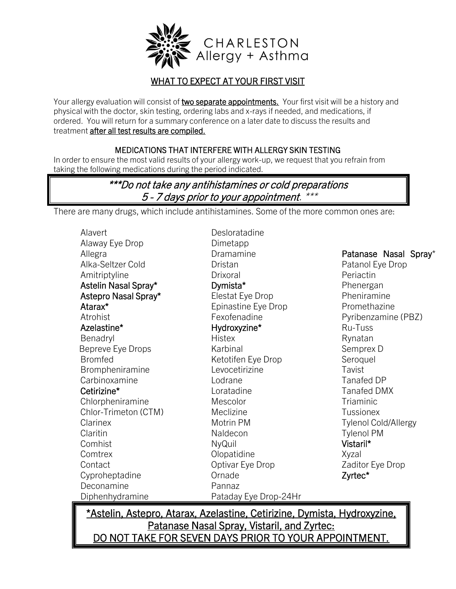

## WHAT TO EXPECT AT YOUR FIRST VISIT

Your allergy evaluation will consist of two separate appointments. Your first visit will be a history and physical with the doctor, skin testing, ordering labs and x-rays if needed, and medications, if ordered. You will return for a summary conference on a later date to discuss the results and treatment **after all test results are compiled.** 

## MEDICATIONS THAT INTERFERE WITH ALLERGY SKIN TESTING

In order to ensure the most valid results of your allergy work-up, we request that you refrain from taking the following medications during the period indicated.

## \*\*\*Do not take any antihistamines or cold preparations 5 - 7 days prior to your appointment. \*\*\*

There are many drugs, which include antihistamines. Some of the more common ones are:

| Alavert              | Desloratadine         |                             |
|----------------------|-----------------------|-----------------------------|
| Alaway Eye Drop      | Dimetapp              |                             |
| Allegra              | Dramamine             | Patanase Nasal Spray*       |
| Alka-Seltzer Cold    | Dristan               | Patanol Eye Drop            |
| Amitriptyline        | Drixoral              | Periactin                   |
| Astelin Nasal Spray* | Dymista*              | Phenergan                   |
| Astepro Nasal Spray* | Elestat Eye Drop      | Pheniramine                 |
| Atarax*              | Epinastine Eye Drop   | Promethazine                |
| Atrohist             | Fexofenadine          | Pyribenzamine (PBZ)         |
| Azelastine*          | Hydroxyzine*          | Ru-Tuss                     |
| Benadryl             | <b>Histex</b>         | Rynatan                     |
| Bepreve Eye Drops    | Karbinal              | Semprex D                   |
| <b>Bromfed</b>       | Ketotifen Eye Drop    | Seroquel                    |
| Brompheniramine      | Levocetirizine        | Tavist                      |
| Carbinoxamine        | Lodrane               | <b>Tanafed DP</b>           |
| Cetirizine*          | Loratadine            | <b>Tanafed DMX</b>          |
| Chlorpheniramine     | Mescolor              | Triaminic                   |
| Chlor-Trimeton (CTM) | Meclizine             | <b>Tussionex</b>            |
| Clarinex             | Motrin PM             | <b>Tylenol Cold/Allergy</b> |
| Claritin             | Naldecon              | <b>Tylenol PM</b>           |
| Comhist              | NyQuil                | Vistaril*                   |
| Comtrex              | Olopatidine           | Xyzal                       |
| Contact              | Optivar Eye Drop      | Zaditor Eye Drop            |
| Cyproheptadine       | Ornade                | Zyrtec*                     |
| Deconamine           | Pannaz                |                             |
| Diphenhydramine      | Pataday Eye Drop-24Hr |                             |

\*Astelin, Astepro, Atarax, Azelastine, Cetirizine, Dymista, Hydroxyzine, Patanase Nasal Spray, Vistaril, and Zyrtec: DO NOT TAKE FOR SEVEN DAYS PRIOR TO YOUR APPOINTMENT.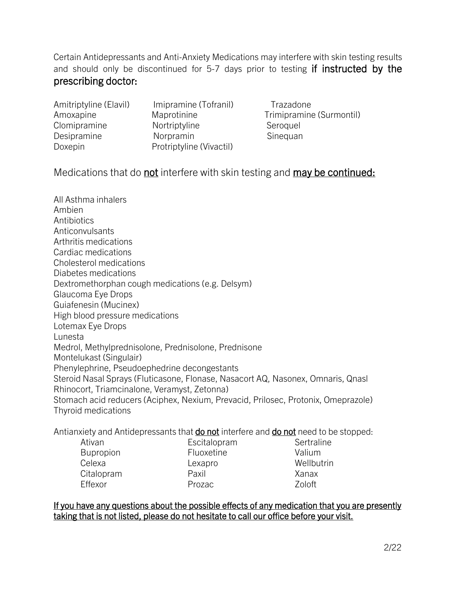Certain Antidepressants and Anti-Anxiety Medications may interfere with skin testing results and should only be discontinued for 5-7 days prior to testing if instructed by the prescribing doctor:

| Amitriptyline (Elavil) | Imipramine (Tofranil)    |
|------------------------|--------------------------|
| Amoxapine              | Maprotinine              |
| Clomipramine           | Nortriptyline            |
| Desipramine            | Norpramin                |
| Doxepin                | Protriptyline (Vivactil) |

Trazadone Trimipramine (Surmontil) Seroquel Sinequan

Medications that do not interfere with skin testing and may be continued:

All Asthma inhalers Ambien **Antibiotics** Anticonvulsants Arthritis medications Cardiac medications Cholesterol medications Diabetes medications Dextromethorphan cough medications (e.g. Delsym) Glaucoma Eye Drops Guiafenesin (Mucinex) High blood pressure medications Lotemax Eye Drops Lunesta Medrol, Methylprednisolone, Prednisolone, Prednisone Montelukast (Singulair) Phenylephrine, Pseudoephedrine decongestants Steroid Nasal Sprays (Fluticasone, Flonase, Nasacort AQ, Nasonex, Omnaris, Qnasl Rhinocort, Triamcinalone, Veramyst, Zetonna) Stomach acid reducers (Aciphex, Nexium, Prevacid, Prilosec, Protonix, Omeprazole) Thyroid medications

Antianxiety and Antidepressants that **do not** interfere and **do not** need to be stopped:

- Bupropion Fluoxetine **Valium** Celexa Lexapro Wellbutrin Citalopram Paxil Xanax Effexor **Prozac** Prozac Zoloft
- 
- Ativan **Escitalopram** Sertraline

If you have any questions about the possible effects of any medication that you are presently taking that is not listed, please do not hesitate to call our office before your visit.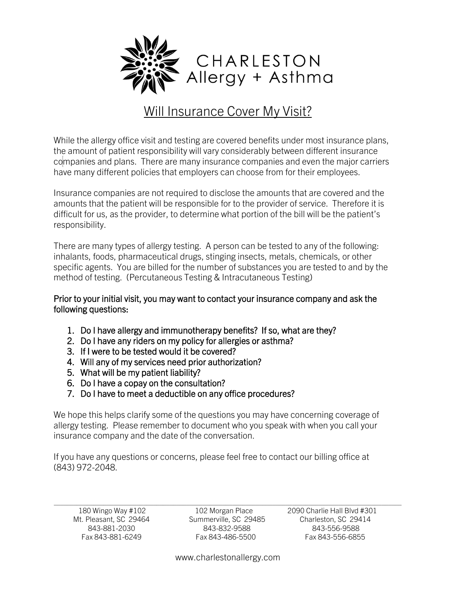

## Will Insurance Cover My Visit?

While the allergy office visit and testing are covered benefits under most insurance plans, the amount of patient responsibility will vary considerably between different insurance companies and plans. There are many insurance companies and even the major carriers have many different policies that employers can choose from for their employees.

Insurance companies are not required to disclose the amounts that are covered and the amounts that the patient will be responsible for to the provider of service. Therefore it is difficult for us, as the provider, to determine what portion of the bill will be the patient's responsibility.

There are many types of allergy testing. A person can be tested to any of the following: inhalants, foods, pharmaceutical drugs, stinging insects, metals, chemicals, or other specific agents. You are billed for the number of substances you are tested to and by the method of testing. (Percutaneous Testing & Intracutaneous Testing)

Prior to your initial visit, you may want to contact your insurance company and ask the following questions:

- 1. Do I have allergy and immunotherapy benefits? If so, what are they?
- 2. Do I have any riders on my policy for allergies or asthma?
- 3. If I were to be tested would it be covered?
- 4. Will any of my services need prior authorization?
- 5. What will be my patient liability?
- 6. Do I have a copay on the consultation?
- 7. Do I have to meet a deductible on any office procedures?

We hope this helps clarify some of the questions you may have concerning coverage of allergy testing. Please remember to document who you speak with when you call your insurance company and the date of the conversation.

If you have any questions or concerns, please feel free to contact our billing office at (843) 972-2048.

 $\_$  , and the set of the set of the set of the set of the set of the set of the set of the set of the set of the set of the set of the set of the set of the set of the set of the set of the set of the set of the set of th

 843-881-2030 843-832-9588 843-556-9588 Fax 843-881-6249 Fax 843-486-5500 Fax 843-556-6855

180 Wingo Way #102 102 Morgan Place 2090 Charlie Hall Blvd #301 Mt. Pleasant, SC 29464 Summerville, SC 29485 Charleston, SC 29414

www.charlestonallergy.com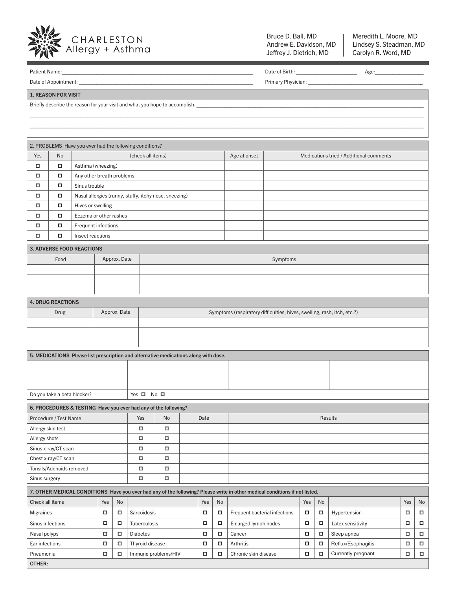

Bruce D. Ball, MD Andrew E. Davidson, MD Jeffrey J. Dietrich, MD

Meredith L. Moore, MD Lindsey S. Steadman, MD Carolyn R. Word, MD

|                                                                                         | Patient Name:               |                                  |                  |              |                                                                                      |                     |                |      |        |                                                                                                                             |     |    |                    |        |        |  |
|-----------------------------------------------------------------------------------------|-----------------------------|----------------------------------|------------------|--------------|--------------------------------------------------------------------------------------|---------------------|----------------|------|--------|-----------------------------------------------------------------------------------------------------------------------------|-----|----|--------------------|--------|--------|--|
|                                                                                         |                             |                                  |                  |              |                                                                                      |                     |                |      |        |                                                                                                                             |     |    |                    |        |        |  |
|                                                                                         | <b>1. REASON FOR VISIT</b>  |                                  |                  |              |                                                                                      |                     |                |      |        |                                                                                                                             |     |    |                    |        |        |  |
| Briefly describe the reason for your visit and what you hope to accomplish. ___________ |                             |                                  |                  |              |                                                                                      |                     |                |      |        |                                                                                                                             |     |    |                    |        |        |  |
|                                                                                         |                             |                                  |                  |              |                                                                                      |                     |                |      |        |                                                                                                                             |     |    |                    |        |        |  |
|                                                                                         |                             |                                  |                  |              |                                                                                      |                     |                |      |        |                                                                                                                             |     |    |                    |        |        |  |
|                                                                                         |                             |                                  |                  |              |                                                                                      |                     |                |      |        |                                                                                                                             |     |    |                    |        |        |  |
| 2. PROBLEMS Have you ever had the following conditions?                                 |                             |                                  |                  |              |                                                                                      |                     |                |      |        |                                                                                                                             |     |    |                    |        |        |  |
| Yes                                                                                     | No                          |                                  |                  |              | Medications tried / Additional comments<br>(check all items)<br>Age at onset         |                     |                |      |        |                                                                                                                             |     |    |                    |        |        |  |
| α                                                                                       | $\Box$                      | Asthma (wheezing)                |                  |              |                                                                                      |                     |                |      |        |                                                                                                                             |     |    |                    |        |        |  |
|                                                                                         | о                           | Any other breath problems        |                  |              |                                                                                      |                     |                |      |        |                                                                                                                             |     |    |                    |        |        |  |
| о                                                                                       | о                           | Sinus trouble                    |                  |              |                                                                                      |                     |                |      |        |                                                                                                                             |     |    |                    |        |        |  |
|                                                                                         | о                           |                                  |                  |              | Nasal allergies (runny, stuffy, itchy nose, sneezing)                                |                     |                |      |        |                                                                                                                             |     |    |                    |        |        |  |
| о                                                                                       | о                           | Hives or swelling                |                  |              |                                                                                      |                     |                |      |        |                                                                                                                             |     |    |                    |        |        |  |
| ο                                                                                       | о                           | Eczema or other rashes           |                  |              |                                                                                      |                     |                |      |        |                                                                                                                             |     |    |                    |        |        |  |
| о                                                                                       | о                           | Frequent infections              |                  |              |                                                                                      |                     |                |      |        |                                                                                                                             |     |    |                    |        |        |  |
| о                                                                                       | о                           | Insect reactions                 |                  |              |                                                                                      |                     |                |      |        |                                                                                                                             |     |    |                    |        |        |  |
|                                                                                         |                             | <b>3. ADVERSE FOOD REACTIONS</b> |                  |              |                                                                                      |                     |                |      |        |                                                                                                                             |     |    |                    |        |        |  |
|                                                                                         | Food                        |                                  |                  | Approx. Date |                                                                                      |                     |                |      |        | Symptoms                                                                                                                    |     |    |                    |        |        |  |
|                                                                                         |                             |                                  |                  |              |                                                                                      |                     |                |      |        |                                                                                                                             |     |    |                    |        |        |  |
|                                                                                         |                             |                                  |                  |              |                                                                                      |                     |                |      |        |                                                                                                                             |     |    |                    |        |        |  |
|                                                                                         |                             |                                  |                  |              |                                                                                      |                     |                |      |        |                                                                                                                             |     |    |                    |        |        |  |
|                                                                                         | <b>4. DRUG REACTIONS</b>    |                                  |                  |              |                                                                                      |                     |                |      |        |                                                                                                                             |     |    |                    |        |        |  |
|                                                                                         | <b>Drug</b>                 |                                  |                  | Approx. Date |                                                                                      |                     |                |      |        | Symptoms (respiratory difficulties, hives, swelling, rash, itch, etc.?)                                                     |     |    |                    |        |        |  |
|                                                                                         |                             |                                  |                  |              |                                                                                      |                     |                |      |        |                                                                                                                             |     |    |                    |        |        |  |
|                                                                                         |                             |                                  |                  |              |                                                                                      |                     |                |      |        |                                                                                                                             |     |    |                    |        |        |  |
|                                                                                         |                             |                                  |                  |              |                                                                                      |                     |                |      |        |                                                                                                                             |     |    |                    |        |        |  |
|                                                                                         |                             |                                  |                  |              | 5. MEDICATIONS Please list prescription and alternative medications along with dose. |                     |                |      |        |                                                                                                                             |     |    |                    |        |        |  |
|                                                                                         |                             |                                  |                  |              |                                                                                      |                     |                |      |        |                                                                                                                             |     |    |                    |        |        |  |
|                                                                                         |                             |                                  |                  |              |                                                                                      |                     |                |      |        |                                                                                                                             |     |    |                    |        |        |  |
|                                                                                         |                             |                                  |                  |              |                                                                                      |                     |                |      |        |                                                                                                                             |     |    |                    |        |        |  |
|                                                                                         | Do you take a beta blocker? |                                  |                  |              | Yes $\Box$                                                                           | No⊡                 |                |      |        |                                                                                                                             |     |    |                    |        |        |  |
|                                                                                         |                             |                                  |                  |              |                                                                                      |                     |                |      |        |                                                                                                                             |     |    |                    |        |        |  |
|                                                                                         | Procedure / Test Name       |                                  |                  |              | 6. PROCEDURES & TESTING Have you ever had any of the following?<br>Yes               | No                  |                | Date |        |                                                                                                                             |     |    |                    |        |        |  |
| Allergy skin test                                                                       |                             |                                  | $\Box$<br>$\Box$ |              |                                                                                      |                     | <b>Results</b> |      |        |                                                                                                                             |     |    |                    |        |        |  |
| Allergy shots                                                                           |                             |                                  |                  |              | о                                                                                    | о                   |                |      |        |                                                                                                                             |     |    |                    |        |        |  |
|                                                                                         | Sinus x-ray/CT scan         |                                  |                  |              | о                                                                                    | о                   |                |      |        |                                                                                                                             |     |    |                    |        |        |  |
|                                                                                         | Chest x-ray/CT scan         |                                  |                  |              | $\Box$                                                                               | $\Box$              |                |      |        |                                                                                                                             |     |    |                    |        |        |  |
|                                                                                         | Tonsils/Adenoids removed    |                                  |                  |              | $\Box$                                                                               | $\Box$              |                |      |        |                                                                                                                             |     |    |                    |        |        |  |
|                                                                                         |                             |                                  |                  |              | $\Box$                                                                               | $\Box$              |                |      |        |                                                                                                                             |     |    |                    |        |        |  |
|                                                                                         | Sinus surgery               |                                  |                  |              |                                                                                      |                     |                |      |        |                                                                                                                             |     |    |                    |        |        |  |
|                                                                                         |                             |                                  |                  |              |                                                                                      |                     |                |      |        | 7. OTHER MEDICAL CONDITIONS Have you ever had any of the following? Please write in other medical conditions if not listed. |     |    |                    |        |        |  |
| Check all items                                                                         |                             |                                  | Yes              | No           |                                                                                      |                     |                | Yes  | No     |                                                                                                                             | Yes | No |                    | Yes    | No     |  |
| Migraines                                                                               |                             |                                  | о                | о            | Sarcoidosis                                                                          |                     |                | о    | $\Box$ | Frequent bacterial infections                                                                                               | α   | о  | Hypertension       | о      | Ω.     |  |
| Sinus infections                                                                        |                             |                                  | о                | о            | Tuberculosis                                                                         |                     |                | о    | о      | Enlarged lymph nodes                                                                                                        | α   | α  | Latex sensitivity  | $\Box$ |        |  |
| Nasal polyps                                                                            |                             |                                  | о                | о            | <b>Diabetes</b>                                                                      |                     |                | о    | α      | Cancer                                                                                                                      | α   | о  | Sleep apnea        | о      | π.     |  |
| Ear infections                                                                          |                             |                                  | о                | о            | Thyroid disease                                                                      |                     |                | о    | α      | Arthritis                                                                                                                   | α   | о  | Reflux/Esophagitis | $\Box$ |        |  |
| Pneumonia                                                                               |                             |                                  | о                | о            |                                                                                      | Immune problems/HIV |                | о    | о      | Chronic skin disease                                                                                                        | α   | о  | Currently pregnant | $\Box$ | $\Box$ |  |
|                                                                                         | OTHER:                      |                                  |                  |              |                                                                                      |                     |                |      |        |                                                                                                                             |     |    |                    |        |        |  |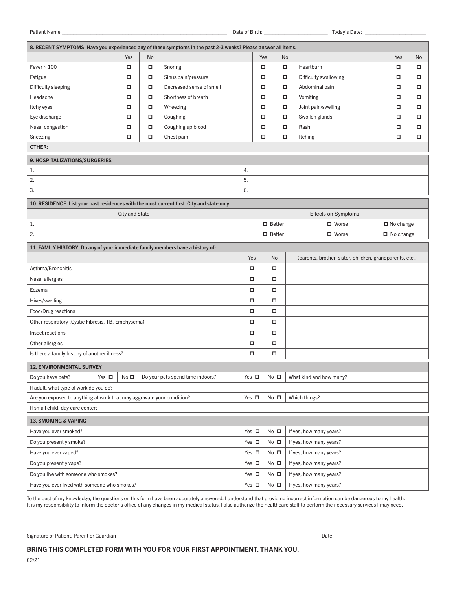Patient Name:\_\_\_\_\_\_\_\_\_\_\_\_\_\_\_\_\_\_\_\_\_\_\_\_\_\_\_\_\_\_\_\_\_\_\_\_\_\_\_\_\_\_\_\_\_\_\_\_\_\_\_\_\_\_\_\_\_ Date of Birth: \_\_\_\_\_\_\_\_\_\_\_\_\_\_\_\_\_\_\_\_\_\_ Today's Date: \_\_\_\_\_\_\_\_\_\_\_\_\_\_\_\_\_\_\_\_\_

| 8. RECENT SYMPTOMS Have you experienced any of these symptoms in the past 2-3 weeks? Please answer all items. |                                                              |        |                                  |            |               |                |                         |                  |    |  |
|---------------------------------------------------------------------------------------------------------------|--------------------------------------------------------------|--------|----------------------------------|------------|---------------|----------------|-------------------------|------------------|----|--|
|                                                                                                               | Yes                                                          | No     |                                  |            | Yes           | No             |                         | Yes              | No |  |
| Fever > 100                                                                                                   | о                                                            | ο      | Snoring                          |            | о             | α              | Heartburn               | □                | о  |  |
| Fatigue                                                                                                       | о                                                            | α      | Sinus pain/pressure              |            | о             | α              | Difficulty swallowing   | о                | о  |  |
| Difficulty sleeping                                                                                           | о                                                            | α      | Decreased sense of smell         |            | о             | α              | Abdominal pain          | α                | о  |  |
| Headache                                                                                                      | $\Box$                                                       | $\Box$ | Shortness of breath              |            | $\Box$        | о              | Vomiting                | $\Box$           | о  |  |
| Itchy eyes                                                                                                    | о                                                            | о      | Wheezing                         |            | о             | о              | Joint pain/swelling     | □                | о  |  |
| Eye discharge                                                                                                 | о                                                            | α      | Coughing                         |            | о             | о              | Swollen glands          | α                | о  |  |
| Nasal congestion                                                                                              | о                                                            | α      | Coughing up blood                |            | о             | о              | Rash                    | α                | о  |  |
| Sneezing                                                                                                      | о                                                            | α      | Chest pain                       |            | о             | о              | <b>Itching</b>          | α                | α  |  |
| OTHER:                                                                                                        |                                                              |        |                                  |            |               |                |                         |                  |    |  |
| <b>9. HOSPITALIZATIONS/SURGERIES</b>                                                                          |                                                              |        |                                  |            |               |                |                         |                  |    |  |
| 1.                                                                                                            |                                                              |        |                                  | 4.         |               |                |                         |                  |    |  |
| 2.                                                                                                            |                                                              |        |                                  | 5.         |               |                |                         |                  |    |  |
| 3.                                                                                                            |                                                              |        |                                  | 6.         |               |                |                         |                  |    |  |
| 10. RESIDENCE List your past residences with the most current first. City and state only.                     |                                                              |        |                                  |            |               |                |                         |                  |    |  |
|                                                                                                               | <b>City and State</b>                                        |        |                                  |            |               |                | Effects on Symptoms     |                  |    |  |
| $1.$                                                                                                          |                                                              |        |                                  |            | $\Box$ Better |                | $\blacksquare$ Worse    | $\Box$ No change |    |  |
| 2.                                                                                                            |                                                              |        |                                  |            | $\Box$ Better |                | $\Box$ Worse            | $\Box$ No change |    |  |
| 11. FAMILY HISTORY Do any of your immediate family members have a history of:                                 |                                                              |        |                                  |            |               |                |                         |                  |    |  |
| Yes<br>No<br>(parents, brother, sister, children, grandparents, etc.)                                         |                                                              |        |                                  |            |               |                |                         |                  |    |  |
| Asthma/Bronchitis                                                                                             |                                                              |        |                                  | о          |               | о              |                         |                  |    |  |
| Nasal allergies                                                                                               |                                                              |        |                                  |            |               | о              |                         |                  |    |  |
| Eczema                                                                                                        |                                                              |        |                                  |            |               | о              |                         |                  |    |  |
| Hives/swelling<br>о<br>о                                                                                      |                                                              |        |                                  |            |               |                |                         |                  |    |  |
| Food/Drug reactions                                                                                           | $\Box$<br>α                                                  |        |                                  |            |               |                |                         |                  |    |  |
|                                                                                                               | Other respiratory (Cystic Fibrosis, TB, Emphysema)<br>о<br>о |        |                                  |            |               |                |                         |                  |    |  |
| Insect reactions                                                                                              | $\Box$<br>о                                                  |        |                                  |            |               |                |                         |                  |    |  |
| Other allergies                                                                                               | о<br>о                                                       |        |                                  |            |               |                |                         |                  |    |  |
| Is there a family history of another illness?                                                                 |                                                              |        |                                  | $\Box$     |               | α              |                         |                  |    |  |
| <b>12. ENVIRONMENTAL SURVEY</b>                                                                               |                                                              |        |                                  |            |               |                |                         |                  |    |  |
| Do you have pets?<br>Yes $\Box$                                                                               | No <sub>D</sub>                                              |        | Do your pets spend time indoors? | Yes $\Box$ |               | $No$ $\square$ | What kind and how many? |                  |    |  |
| If adult, what type of work do you do?                                                                        |                                                              |        |                                  |            |               |                |                         |                  |    |  |
| Are you exposed to anything at work that may aggravate your condition?                                        |                                                              |        |                                  | Yes $\Box$ |               | $No$ $\square$ | Which things?           |                  |    |  |
| If small child, day care center?                                                                              |                                                              |        |                                  |            |               |                |                         |                  |    |  |
| <b>13. SMOKING &amp; VAPING</b>                                                                               |                                                              |        |                                  |            |               |                |                         |                  |    |  |
| Have you ever smoked?                                                                                         |                                                              |        |                                  | Yes $\Box$ |               | $No$ $\square$ | If yes, how many years? |                  |    |  |
| Do you presently smoke?                                                                                       |                                                              |        |                                  | Yes $\Box$ |               | $No$ $\square$ | If yes, how many years? |                  |    |  |
| Have you ever vaped?                                                                                          | $No$ $\square$<br>If yes, how many years?<br>Yes $\Box$      |        |                                  |            |               |                |                         |                  |    |  |
| Do you presently vape?<br>Yes $\Box$<br>$No$ $\square$<br>If yes, how many years?                             |                                                              |        |                                  |            |               |                |                         |                  |    |  |
| Do you live with someone who smokes?                                                                          | Yes $\Box$<br>$No$ $\square$<br>If yes, how many years?      |        |                                  |            |               |                |                         |                  |    |  |
| Have you ever lived with someone who smokes?                                                                  |                                                              |        |                                  | Yes $\Box$ |               | $No$ $\square$ | If yes, how many years? |                  |    |  |

To the best of my knowledge, the questions on this form have been accurately answered. I understand that providing incorrect information can be dangerous to my health. It is my responsibility to inform the doctor's office of any changes in my medical status. I also authorize the healthcare staff to perform the necessary services I may need.

Signature of Patient, Parent or Guardian Date

–––––––––––––––––––––––––––––––––––––––––––––––––––––––––––––––––––––––––––––––––––––––––– –––––––––––––––––––––––––––––––––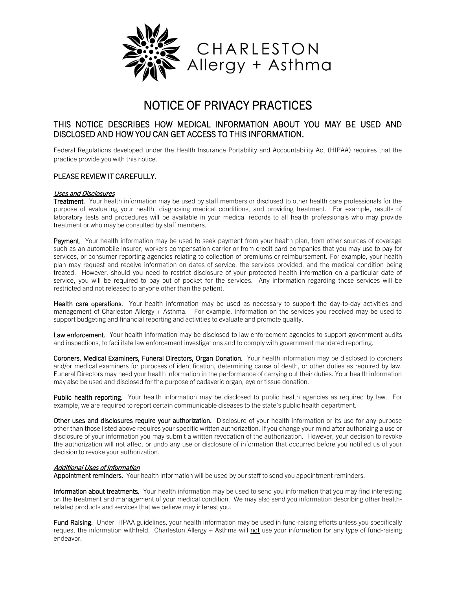

## NOTICE OF PRIVACY PRACTICES

#### THIS NOTICE DESCRIBES HOW MEDICAL INFORMATION ABOUT YOU MAY BE USED AND DISCLOSED AND HOW YOU CAN GET ACCESS TO THIS INFORMATION.

Federal Regulations developed under the Health Insurance Portability and Accountability Act (HIPAA) requires that the practice provide you with this notice.

#### PLEASE REVIEW IT CAREFULLY.

#### Uses and Disclosures

Treatment. Your health information may be used by staff members or disclosed to other health care professionals for the purpose of evaluating your health, diagnosing medical conditions, and providing treatment. For example, results of laboratory tests and procedures will be available in your medical records to all health professionals who may provide treatment or who may be consulted by staff members.

Payment. Your health information may be used to seek payment from your health plan, from other sources of coverage such as an automobile insurer, workers compensation carrier or from credit card companies that you may use to pay for services, or consumer reporting agencies relating to collection of premiums or reimbursement. For example, your health plan may request and receive information on dates of service, the services provided, and the medical condition being treated. However, should you need to restrict disclosure of your protected health information on a particular date of service, you will be required to pay out of pocket for the services. Any information regarding those services will be restricted and not released to anyone other than the patient.

Health care operations. Your health information may be used as necessary to support the day-to-day activities and management of Charleston Allergy + Asthma. For example, information on the services you received may be used to support budgeting and financial reporting and activities to evaluate and promote quality.

Law enforcement. Your health information may be disclosed to law enforcement agencies to support government audits and inspections, to facilitate law enforcement investigations and to comply with government mandated reporting.

Coroners, Medical Examiners, Funeral Directors, Organ Donation. Your health information may be disclosed to coroners and/or medical examiners for purposes of identification, determining cause of death, or other duties as required by law. Funeral Directors may need your health information in the performance of carrying out their duties. Your health information may also be used and disclosed for the purpose of cadaveric organ, eye or tissue donation.

Public health reporting. Your health information may be disclosed to public health agencies as required by law. For example, we are required to report certain communicable diseases to the state's public health department.

Other uses and disclosures require your authorization. Disclosure of your health information or its use for any purpose other than those listed above requires your specific written authorization. If you change your mind after authorizing a use or disclosure of your information you may submit a written revocation of the authorization. However, your decision to revoke the authorization will not affect or undo any use or disclosure of information that occurred before you notified us of your decision to revoke your authorization.

#### Additional Uses of Information

Appointment reminders. Your health information will be used by our staff to send you appointment reminders.

Information about treatments. Your health information may be used to send you information that you may find interesting on the treatment and management of your medical condition. We may also send you information describing other healthrelated products and services that we believe may interest you.

Fund Raising. Under HIPAA guidelines, your health information may be used in fund-raising efforts unless you specifically request the information withheld. Charleston Allergy + Asthma will not use your information for any type of fund-raising endeavor.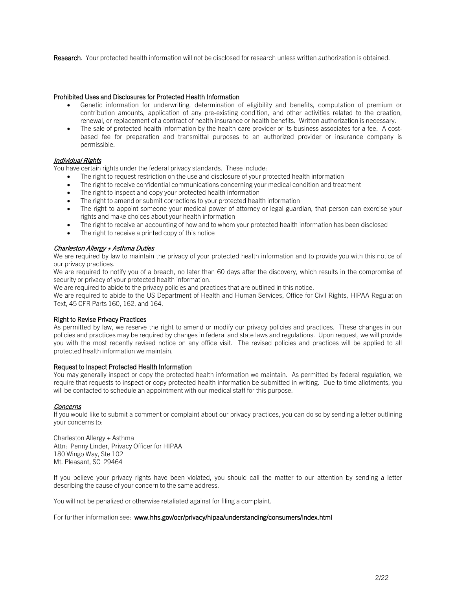Research. Your protected health information will not be disclosed for research unless written authorization is obtained.

#### Prohibited Uses and Disclosures for Protected Health Information

- Genetic information for underwriting, determination of eligibility and benefits, computation of premium or contribution amounts, application of any pre-existing condition, and other activities related to the creation, renewal, or replacement of a contract of health insurance or health benefits. Written authorization is necessary.
- The sale of protected health information by the health care provider or its business associates for a fee. A costbased fee for preparation and transmittal purposes to an authorized provider or insurance company is permissible.

#### Individual Rights

You have certain rights under the federal privacy standards. These include:

- The right to request restriction on the use and disclosure of your protected health information
- The right to receive confidential communications concerning your medical condition and treatment
- The right to inspect and copy your protected health information
- The right to amend or submit corrections to your protected health information
- The right to appoint someone your medical power of attorney or legal guardian, that person can exercise your rights and make choices about your health information
- The right to receive an accounting of how and to whom your protected health information has been disclosed
- The right to receive a printed copy of this notice

#### Charleston Allergy + Asthma Duties

We are required by law to maintain the privacy of your protected health information and to provide you with this notice of our privacy practices.

We are required to notify you of a breach, no later than 60 days after the discovery, which results in the compromise of security or privacy of your protected health information.

We are required to abide to the privacy policies and practices that are outlined in this notice.

We are required to abide to the US Department of Health and Human Services, Office for Civil Rights, HIPAA Regulation Text, 45 CFR Parts 160, 162, and 164.

#### Right to Revise Privacy Practices

As permitted by law, we reserve the right to amend or modify our privacy policies and practices. These changes in our policies and practices may be required by changes in federal and state laws and regulations. Upon request, we will provide you with the most recently revised notice on any office visit. The revised policies and practices will be applied to all protected health information we maintain.

#### Request to Inspect Protected Health Information

You may generally inspect or copy the protected health information we maintain. As permitted by federal regulation, we require that requests to inspect or copy protected health information be submitted in writing. Due to time allotments, you will be contacted to schedule an appointment with our medical staff for this purpose.

#### Concerns

If you would like to submit a comment or complaint about our privacy practices, you can do so by sending a letter outlining your concerns to:

Charleston Allergy + Asthma Attn: Penny Linder, Privacy Officer for HIPAA 180 Wingo Way, Ste 102 Mt. Pleasant, SC 29464

If you believe your privacy rights have been violated, you should call the matter to our attention by sending a letter describing the cause of your concern to the same address.

You will not be penalized or otherwise retaliated against for filing a complaint.

For further information see: www.hhs.gov/ocr/privacy/hipaa/understanding/consumers/index.html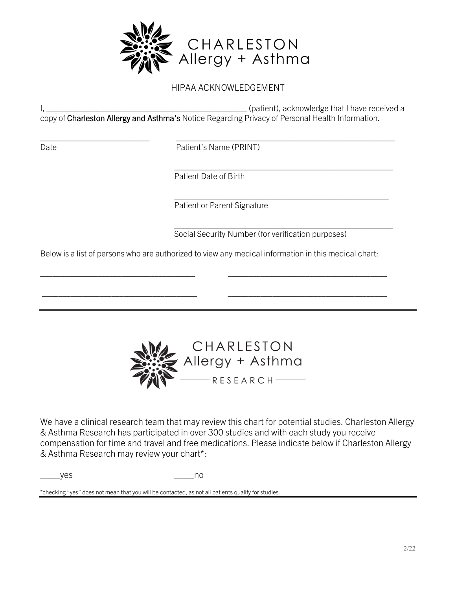

I, \_\_\_\_\_\_\_\_\_\_\_\_\_\_\_\_\_\_\_\_\_\_\_\_\_\_\_\_\_\_\_\_\_\_\_\_\_\_\_\_\_\_\_\_ (patient), acknowledge that I have received a copy of Charleston Allergy and Asthma's Notice Regarding Privacy of Personal Health Information.

\_\_\_\_\_\_\_\_\_\_\_\_\_\_\_\_\_\_\_\_\_\_\_\_ \_\_\_\_\_\_\_\_\_\_\_\_\_\_\_\_\_\_\_\_\_\_\_\_\_\_\_\_\_\_\_\_\_\_\_\_\_\_\_\_\_\_\_\_\_\_\_\_ Date **Date** Patient's Name (PRINT)

> $\mathcal{L}_\text{max} = \frac{1}{2} \sum_{i=1}^n \frac{1}{2} \sum_{i=1}^n \frac{1}{2} \sum_{i=1}^n \frac{1}{2} \sum_{i=1}^n \frac{1}{2} \sum_{i=1}^n \frac{1}{2} \sum_{i=1}^n \frac{1}{2} \sum_{i=1}^n \frac{1}{2} \sum_{i=1}^n \frac{1}{2} \sum_{i=1}^n \frac{1}{2} \sum_{i=1}^n \frac{1}{2} \sum_{i=1}^n \frac{1}{2} \sum_{i=1}^n \frac{1}{2} \sum_{i=1}^n$ Patient Date of Birth

 $\mathcal{L}_\mathcal{L} = \{ \mathcal{L}_\mathcal{L} = \{ \mathcal{L}_\mathcal{L} = \{ \mathcal{L}_\mathcal{L} = \{ \mathcal{L}_\mathcal{L} = \{ \mathcal{L}_\mathcal{L} = \{ \mathcal{L}_\mathcal{L} = \{ \mathcal{L}_\mathcal{L} = \{ \mathcal{L}_\mathcal{L} = \{ \mathcal{L}_\mathcal{L} = \{ \mathcal{L}_\mathcal{L} = \{ \mathcal{L}_\mathcal{L} = \{ \mathcal{L}_\mathcal{L} = \{ \mathcal{L}_\mathcal{L} = \{ \mathcal{L}_\mathcal{$ Patient or Parent Signature

> \_\_\_\_\_\_\_\_\_\_\_\_\_\_\_\_\_\_\_\_\_\_\_\_\_\_\_\_\_\_\_\_\_\_\_\_\_\_\_\_\_\_\_\_\_\_\_\_ Social Security Number (for verification purposes)

Below is a list of persons who are authorized to view any medical information in this medical chart:

\_\_\_\_\_\_\_\_\_\_\_\_\_\_\_\_\_\_\_\_\_\_\_\_\_\_\_\_\_\_\_\_\_\_\_\_\_\_ \_\_\_\_\_\_\_\_\_\_\_\_\_\_\_\_\_\_\_\_\_\_\_\_\_\_\_\_\_\_\_\_\_\_\_\_\_\_\_

\_\_\_\_\_\_\_\_\_\_\_\_\_\_\_\_\_\_\_\_\_\_\_\_\_\_\_\_\_\_\_\_\_\_\_\_\_\_ \_\_\_\_\_\_\_\_\_\_\_\_\_\_\_\_\_\_\_\_\_\_\_\_\_\_\_\_\_\_\_\_\_\_\_\_\_\_\_



We have a clinical research team that may review this chart for potential studies. Charleston Allergy & Asthma Research has participated in over 300 studies and with each study you receive compensation for time and travel and free medications. Please indicate below if Charleston Allergy & Asthma Research may review your chart\*:

\_\_\_\_yes \_\_\_\_no

\*checking "yes" does not mean that you will be contacted, as not all patients qualify for studies.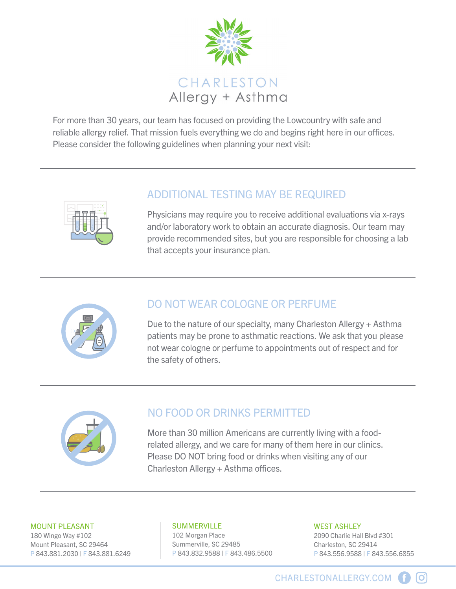

For more than 30 years, our team has focused on providing the Lowcountry with safe and reliable allergy relief. That mission fuels everything we do and begins right here in our offices. Please consider the following guidelines when planning your next visit:



## ADDITIONAL TESTING MAY BE REQUIRED

Physicians may require you to receive additional evaluations via x-rays and/or laboratory work to obtain an accurate diagnosis. Our team may provide recommended sites, but you are responsible for choosing a lab that accepts your insurance plan.



## DO NOT WEAR COLOGNE OR PERFUME

Due to the nature of our specialty, many Charleston Allergy + Asthma patients may be prone to asthmatic reactions. We ask that you please not wear cologne or perfume to appointments out of respect and for the safety of others.



## NO FOOD OR DRINKS PERMITTED

More than 30 million Americans are currently living with a foodrelated allergy, and we care for many of them here in our clinics. Please DO NOT bring food or drinks when visiting any of our Charleston Allergy  $+$  Asthma offices.

#### MOUNT PLEASANT

180 Wingo Way #102 Mount Pleasant, SC 29464 P 843.881.2030 | F 843.881.6249

#### SUMMERVILLE

102 Morgan Place Summerville, SC 29485 P 843.832.9588 | F 843.486.5500

#### WEST ASHLEY

2090 Charlie Hall Blvd #301 Charleston, SC 29414 P 843.556.9588 | F 843.556.6855

[O]

CHARLESTONALLERGY.COM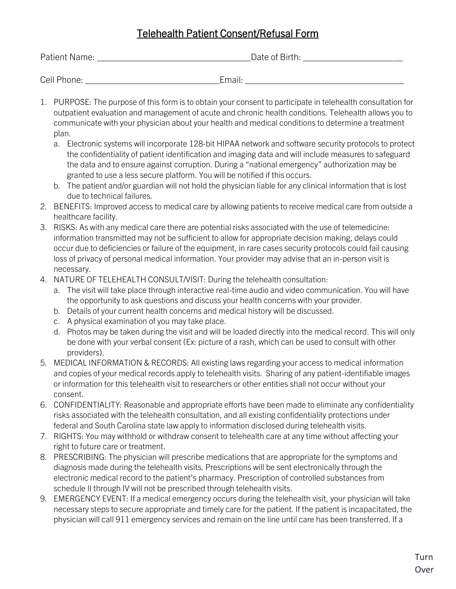## Telehealth Patient Consent/Refusal Form

| Patient Name: | Date of Birth: |
|---------------|----------------|
|               |                |
| Cell Phone:   | Email:         |

- 1. PURPOSE: The purpose of this form is to obtain your consent to participate in telehealth consultation for outpatient evaluation and management of acute and chronic health conditions. Telehealth allows you to communicate with your physician about your health and medical conditions to determine a treatment plan.
	- a. Electronic systems will incorporate 128-bit HIPAA network and software security protocols to protect the confidentiality of patient identification and imaging data and will include measures to safeguard the data and to ensure against corruption. During a "national emergency" authorization may be granted to use a less secure platform. You will be notified if this occurs.
	- b. The patient and/or guardian will not hold the physician liable for any clinical information that is lost due to technical failures.
- 2. BENEFITS: Improved access to medical care by allowing patients to receive medical care from outside a healthcare facility.
- 3. RISKS: As with any medical care there are potential risks associated with the use of telemedicine: information transmitted may not be sufficient to allow for appropriate decision making, delays could occur due to deficiencies or failure of the equipment, in rare cases security protocols could fail causing loss of privacy of personal medical information. Your provider may advise that an in-person visit is necessary.
- 4. NATURE OF TELEHEALTH CONSULT/VISIT: During the telehealth consultation:
	- a. The visit will take place through interactive real-time audio and video communication. You will have the opportunity to ask questions and discuss your health concerns with your provider.
	- b. Details of your current health concerns and medical history will be discussed.
	- c. A physical examination of you may take place.
	- d. Photos may be taken during the visit and will be loaded directly into the medical record. This will only be done with your verbal consent (Ex: picture of a rash, which can be used to consult with other providers).
- 5. MEDICAL INFORMATION & RECORDS: All existing laws regarding your access to medical information and copies of your medical records apply to telehealth visits. Sharing of any patient-identifiable images or information for this telehealth visit to researchers or other entities shall not occur without your consent.
- 6. CONFIDENTIALITY: Reasonable and appropriate efforts have been made to eliminate any confidentiality risks associated with the telehealth consultation, and all existing confidentiality protections under federal and South Carolina state law apply to information disclosed during telehealth visits.
- 7. RIGHTS: You may withhold or withdraw consent to telehealth care at any time without affecting your right to future care or treatment.
- 8. PRESCRIBING: The physician will prescribe medications that are appropriate for the symptoms and diagnosis made during the telehealth visits. Prescriptions will be sent electronically through the electronic medical record to the patient's pharmacy. Prescription of controlled substances from schedule II through IV will not be prescribed through telehealth visits.
- 9. EMERGENCY EVENT: If a medical emergency occurs during the telehealth visit, your physician will take necessary steps to secure appropriate and timely care for the patient. If the patient is incapacitated, the physician will call 911 emergency services and remain on the line until care has been transferred. If a